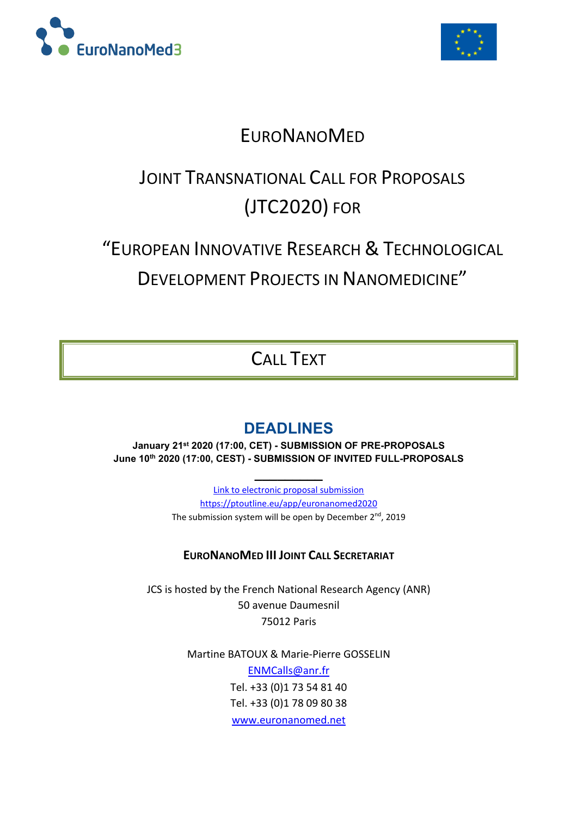



# **EURONANOMED**

# JOINT TRANSNATIONAL CALL FOR PROPOSALS (JTC2020) FOR

# "EUROPEAN INNOVATIVE RESEARCH & TECHNOLOGICAL

DEVELOPMENT PROJECTS IN NANOMEDICINE"

# CALL TEXT

# **DEADLINES**

**January 21st 2020 (17:00, CET) - SUBMISSION OF PRE-PROPOSALS June 10th 2020 (17:00, CEST) - SUBMISSION OF INVITED FULL-PROPOSALS**

**\_\_\_\_\_\_\_\_\_**

Link to electronic proposal submission https://ptoutline.eu/app/euronanomed2020 The submission system will be open by December 2<sup>nd</sup>, 2019

## **EURONANOMED III JOINT CALL SECRETARIAT**

JCS is hosted by the French National Research Agency (ANR) 50 avenue Daumesnil 75012 Paris

> Martine BATOUX & Marie-Pierre GOSSELIN ENMCalls@anr.fr Tel. +33 (0)1 73 54 81 40 Tel. +33 (0)1 78 09 80 38 www.euronanomed.net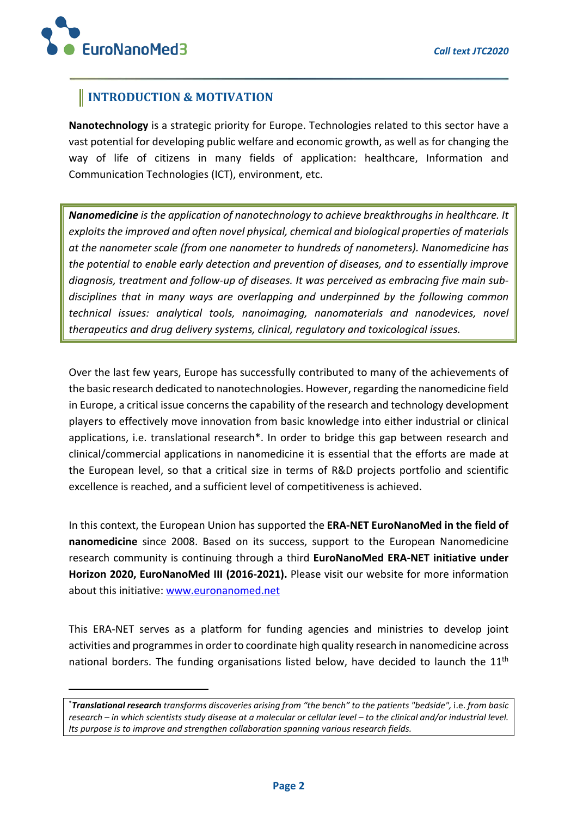## **INTRODUCTION & MOTIVATION**

**Nanotechnology** is a strategic priority for Europe. Technologies related to this sector have a vast potential for developing public welfare and economic growth, as well as for changing the way of life of citizens in many fields of application: healthcare, Information and Communication Technologies (ICT), environment, etc.

*Nanomedicine is the application of nanotechnology to achieve breakthroughs in healthcare. It exploits the improved and often novel physical, chemical and biological properties of materials at the nanometer scale (from one nanometer to hundreds of nanometers). Nanomedicine has the potential to enable early detection and prevention of diseases, and to essentially improve diagnosis, treatment and follow-up of diseases. It was perceived as embracing five main subdisciplines that in many ways are overlapping and underpinned by the following common technical issues: analytical tools, nanoimaging, nanomaterials and nanodevices, novel therapeutics and drug delivery systems, clinical, regulatory and toxicological issues.*

Over the last few years, Europe has successfully contributed to many of the achievements of the basic research dedicated to nanotechnologies. However, regarding the nanomedicine field in Europe, a critical issue concerns the capability of the research and technology development players to effectively move innovation from basic knowledge into either industrial or clinical applications, i.e. translational research\*. In order to bridge this gap between research and clinical/commercial applications in nanomedicine it is essential that the efforts are made at the European level, so that a critical size in terms of R&D projects portfolio and scientific excellence is reached, and a sufficient level of competitiveness is achieved.

In this context, the European Union has supported the **ERA-NET EuroNanoMed in the field of nanomedicine** since 2008. Based on its success, support to the European Nanomedicine research community is continuing through a third **EuroNanoMed ERA-NET initiative under Horizon 2020, EuroNanoMed III (2016-2021).** Please visit our website for more information about this initiative: www.euronanomed.net

This ERA-NET serves as a platform for funding agencies and ministries to develop joint activities and programmes in order to coordinate high quality research in nanomedicine across national borders. The funding organisations listed below, have decided to launch the 11<sup>th</sup>

<sup>\*</sup> *Translational research transforms discoveries arising from "the bench" to the patients "bedside",* i.e. *from basic research – in which scientists study disease at a molecular or cellular level – to the clinical and/or industrial level. Its purpose is to improve and strengthen collaboration spanning various research fields.*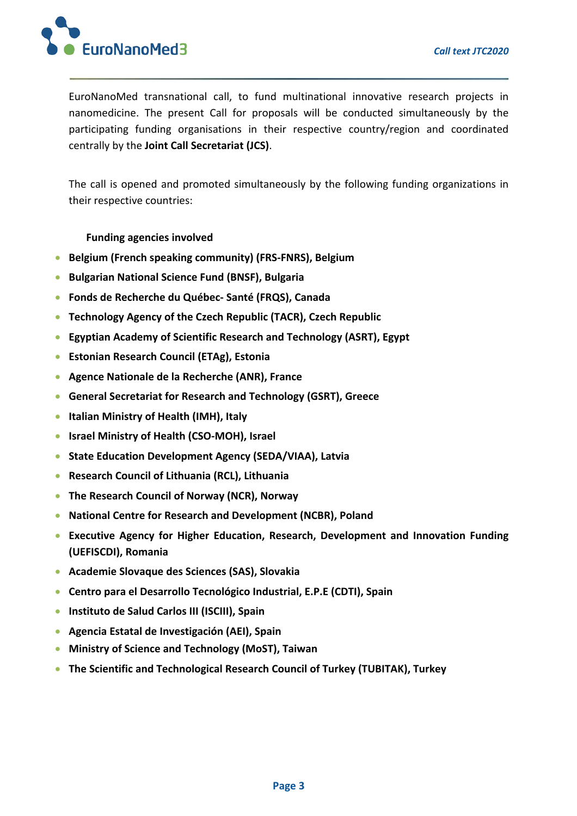

EuroNanoMed transnational call, to fund multinational innovative research projects in nanomedicine. The present Call for proposals will be conducted simultaneously by the participating funding organisations in their respective country/region and coordinated centrally by the **Joint Call Secretariat (JCS)**.

The call is opened and promoted simultaneously by the following funding organizations in their respective countries:

**Funding agencies involved**

- **Belgium (French speaking community) (FRS-FNRS), Belgium**
- **Bulgarian National Science Fund (BNSF), Bulgaria**
- **Fonds de Recherche du Québec- Santé (FRQS), Canada**
- **Technology Agency of the Czech Republic (TACR), Czech Republic**
- **Egyptian Academy of Scientific Research and Technology (ASRT), Egypt**
- **Estonian Research Council (ETAg), Estonia**
- **Agence Nationale de la Recherche (ANR), France**
- **General Secretariat for Research and Technology (GSRT), Greece**
- **Italian Ministry of Health (IMH), Italy**
- **Israel Ministry of Health (CSO-MOH), Israel**
- **State Education Development Agency (SEDA/VIAA), Latvia**
- **Research Council of Lithuania (RCL), Lithuania**
- **The Research Council of Norway (NCR), Norway**
- **National Centre for Research and Development (NCBR), Poland**
- **Executive Agency for Higher Education, Research, Development and Innovation Funding (UEFISCDI), Romania**
- **Academie Slovaque des Sciences (SAS), Slovakia**
- **Centro para el Desarrollo Tecnológico Industrial, E.P.E (CDTI), Spain**
- **Instituto de Salud Carlos III (ISCIII), Spain**
- **Agencia Estatal de Investigación (AEI), Spain**
- **Ministry of Science and Technology (MoST), Taiwan**
- **The Scientific and Technological Research Council of Turkey (TUBITAK), Turkey**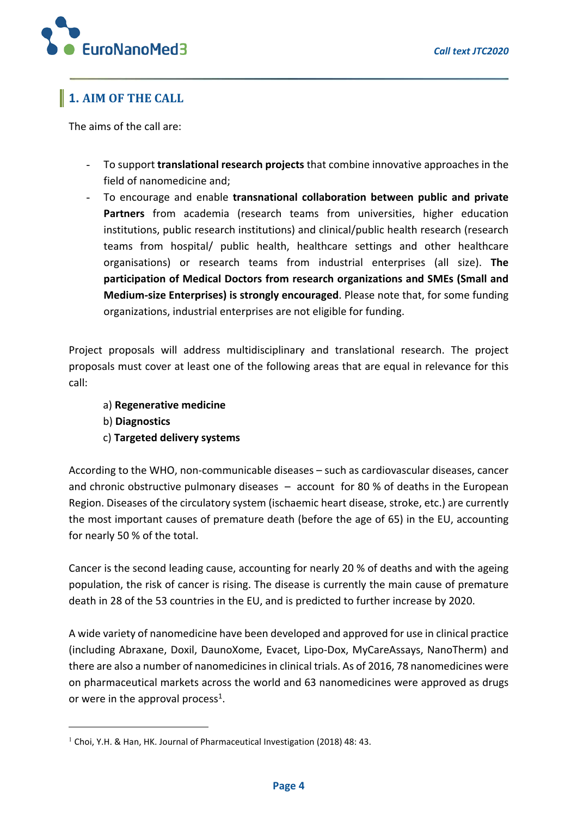

# **1. AIM OF THE CALL**

The aims of the call are:

- To support **translational research projects** that combine innovative approaches in the field of nanomedicine and;
- To encourage and enable **transnational collaboration between public and private Partners** from academia (research teams from universities, higher education institutions, public research institutions) and clinical/public health research (research teams from hospital/ public health, healthcare settings and other healthcare organisations) or research teams from industrial enterprises (all size). **The participation of Medical Doctors from research organizations and SMEs (Small and Medium-size Enterprises) is strongly encouraged**. Please note that, for some funding organizations, industrial enterprises are not eligible for funding.

Project proposals will address multidisciplinary and translational research. The project proposals must cover at least one of the following areas that are equal in relevance for this call:

- a) **Regenerative medicine**
- b) **Diagnostics**
- c) **Targeted delivery systems**

According to the WHO, non-communicable diseases – such as cardiovascular diseases, cancer and chronic obstructive pulmonary diseases – account for 80 % of deaths in the European Region. Diseases of the circulatory system (ischaemic heart disease, stroke, etc.) are currently the most important causes of premature death (before the age of 65) in the EU, accounting for nearly 50 % of the total.

Cancer is the second leading cause, accounting for nearly 20 % of deaths and with the ageing population, the risk of cancer is rising. The disease is currently the main cause of premature death in 28 of the 53 countries in the EU, and is predicted to further increase by 2020.

A wide variety of nanomedicine have been developed and approved for use in clinical practice (including Abraxane, Doxil, DaunoXome, Evacet, Lipo-Dox, MyCareAssays, NanoTherm) and there are also a number of nanomedicines in clinical trials. As of 2016, 78 nanomedicines were on pharmaceutical markets across the world and 63 nanomedicines were approved as drugs or were in the approval process<sup>1</sup>.

<sup>&</sup>lt;sup>1</sup> Choi, Y.H. & Han, HK. Journal of Pharmaceutical Investigation (2018) 48: 43.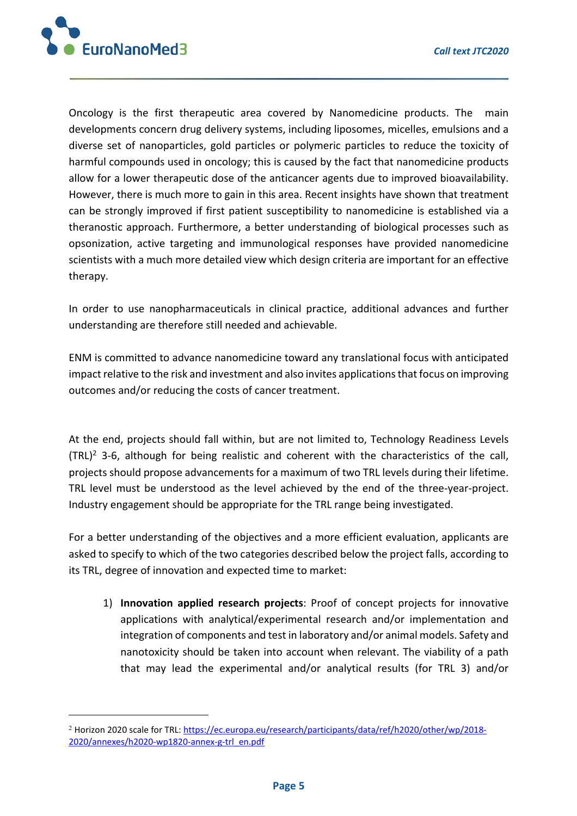

Oncology is the first therapeutic area covered by Nanomedicine products. The main developments concern drug delivery systems, including liposomes, micelles, emulsions and a diverse set of nanoparticles, gold particles or polymeric particles to reduce the toxicity of harmful compounds used in oncology; this is caused by the fact that nanomedicine products allow for a lower therapeutic dose of the anticancer agents due to improved bioavailability. However, there is much more to gain in this area. Recent insights have shown that treatment can be strongly improved if first patient susceptibility to nanomedicine is established via a theranostic approach. Furthermore, a better understanding of biological processes such as opsonization, active targeting and immunological responses have provided nanomedicine scientists with a much more detailed view which design criteria are important for an effective therapy.

In order to use nanopharmaceuticals in clinical practice, additional advances and further understanding are therefore still needed and achievable.

ENM is committed to advance nanomedicine toward any translational focus with anticipated impact relative to the risk and investment and also invites applications that focus on improving outcomes and/or reducing the costs of cancer treatment.

At the end, projects should fall within, but are not limited to, Technology Readiness Levels  $(TRL)^2$  3-6, although for being realistic and coherent with the characteristics of the call, projects should propose advancements for a maximum of two TRL levels during their lifetime. TRL level must be understood as the level achieved by the end of the three-year-project. Industry engagement should be appropriate for the TRL range being investigated.

For a better understanding of the objectives and a more efficient evaluation, applicants are asked to specify to which of the two categories described below the project falls, according to its TRL, degree of innovation and expected time to market:

1) **Innovation applied research projects**: Proof of concept projects for innovative applications with analytical/experimental research and/or implementation and integration of components and test in laboratory and/or animal models. Safety and nanotoxicity should be taken into account when relevant. The viability of a path that may lead the experimental and/or analytical results (for TRL 3) and/or

<sup>&</sup>lt;sup>2</sup> Horizon 2020 scale for TRL: https://ec.europa.eu/research/participants/data/ref/h2020/other/wp/2018-2020/annexes/h2020-wp1820-annex-g-trl\_en.pdf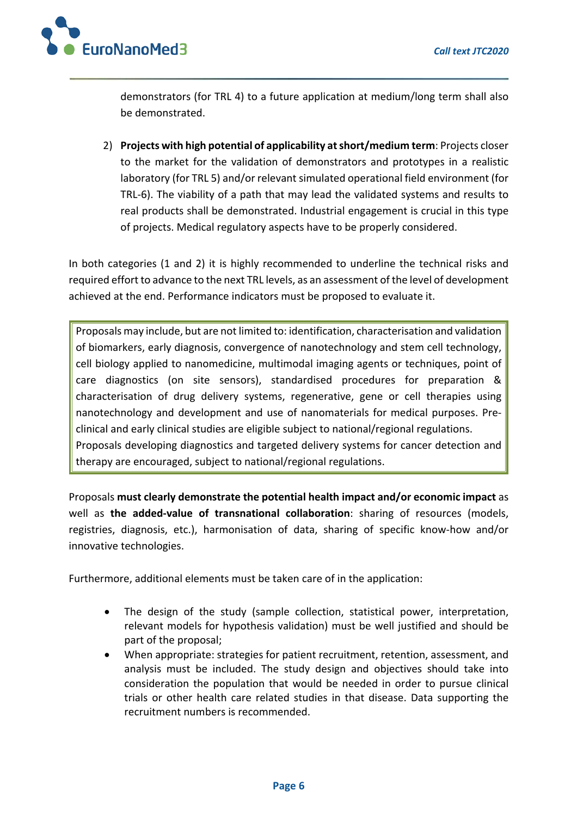

demonstrators (for TRL 4) to a future application at medium/long term shall also be demonstrated.

2) **Projects with high potential of applicability at short/medium term**: Projects closer to the market for the validation of demonstrators and prototypes in a realistic laboratory (for TRL 5) and/or relevant simulated operational field environment (for TRL-6). The viability of a path that may lead the validated systems and results to real products shall be demonstrated. Industrial engagement is crucial in this type of projects. Medical regulatory aspects have to be properly considered.

In both categories (1 and 2) it is highly recommended to underline the technical risks and required effort to advance to the next TRL levels, as an assessment of the level of development achieved at the end. Performance indicators must be proposed to evaluate it.

Proposals may include, but are not limited to: identification, characterisation and validation of biomarkers, early diagnosis, convergence of nanotechnology and stem cell technology, cell biology applied to nanomedicine, multimodal imaging agents or techniques, point of care diagnostics (on site sensors), standardised procedures for preparation & characterisation of drug delivery systems, regenerative, gene or cell therapies using nanotechnology and development and use of nanomaterials for medical purposes. Preclinical and early clinical studies are eligible subject to national/regional regulations. Proposals developing diagnostics and targeted delivery systems for cancer detection and therapy are encouraged, subject to national/regional regulations.

Proposals **must clearly demonstrate the potential health impact and/or economic impact** as well as **the added-value of transnational collaboration**: sharing of resources (models, registries, diagnosis, etc.), harmonisation of data, sharing of specific know-how and/or innovative technologies.

Furthermore, additional elements must be taken care of in the application:

- The design of the study (sample collection, statistical power, interpretation, relevant models for hypothesis validation) must be well justified and should be part of the proposal;
- When appropriate: strategies for patient recruitment, retention, assessment, and analysis must be included. The study design and objectives should take into consideration the population that would be needed in order to pursue clinical trials or other health care related studies in that disease. Data supporting the recruitment numbers is recommended.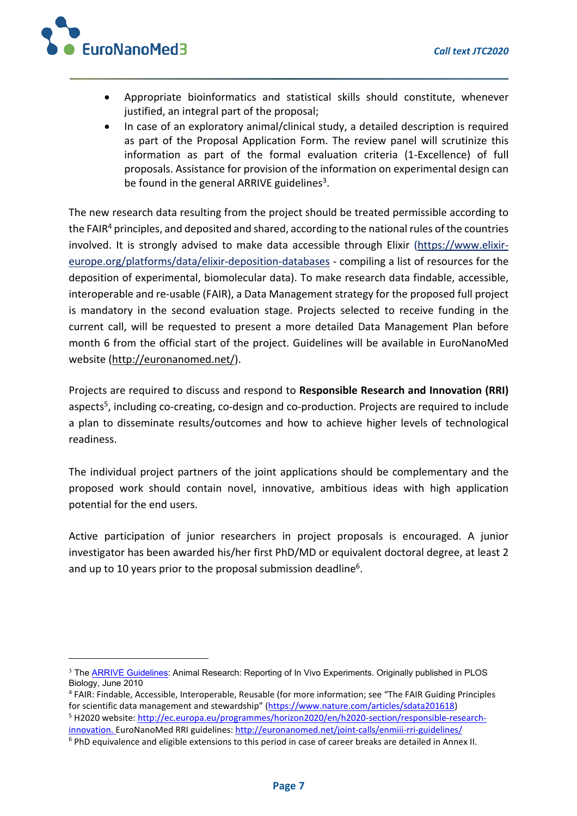

- Appropriate bioinformatics and statistical skills should constitute, whenever justified, an integral part of the proposal;
- In case of an exploratory animal/clinical study, a detailed description is required as part of the Proposal Application Form. The review panel will scrutinize this information as part of the formal evaluation criteria (1-Excellence) of full proposals. Assistance for provision of the information on experimental design can be found in the general ARRIVE guidelines<sup>3</sup>.

The new research data resulting from the project should be treated permissible according to the FAIR $4$  principles, and deposited and shared, according to the national rules of the countries involved. It is strongly advised to make data accessible through Elixir (https://www.elixireurope.org/platforms/data/elixir-deposition-databases - compiling a list of resources for the deposition of experimental, biomolecular data). To make research data findable, accessible, interoperable and re-usable (FAIR), a Data Management strategy for the proposed full project is mandatory in the second evaluation stage. Projects selected to receive funding in the current call, will be requested to present a more detailed Data Management Plan before month 6 from the official start of the project. Guidelines will be available in EuroNanoMed website (http://euronanomed.net/).

Projects are required to discuss and respond to **Responsible Research and Innovation (RRI)** aspects5, including co-creating, co-design and co-production. Projects are required to include a plan to disseminate results/outcomes and how to achieve higher levels of technological readiness.

The individual project partners of the joint applications should be complementary and the proposed work should contain novel, innovative, ambitious ideas with high application potential for the end users.

Active participation of junior researchers in project proposals is encouraged. A junior investigator has been awarded his/her first PhD/MD or equivalent doctoral degree, at least 2 and up to 10 years prior to the proposal submission deadline<sup>6</sup>.

<sup>&</sup>lt;sup>3</sup> The **ARRIVE Guidelines:** Animal Research: Reporting of In Vivo Experiments. Originally published in PLOS Biology, June 2010

<sup>4</sup> FAIR: Findable, Accessible, Interoperable, Reusable (for more information; see "The FAIR Guiding Principles for scientific data management and stewardship" (https://www.nature.com/articles/sdata201618) <sup>5</sup> H2020 website: http://ec.europa.eu/programmes/horizon2020/en/h2020-section/responsible-research-

innovation. EuroNanoMed RRI guidelines: http://euronanomed.net/joint-calls/enmiii-rri-guidelines/

<sup>&</sup>lt;sup>6</sup> PhD equivalence and eligible extensions to this period in case of career breaks are detailed in Annex II.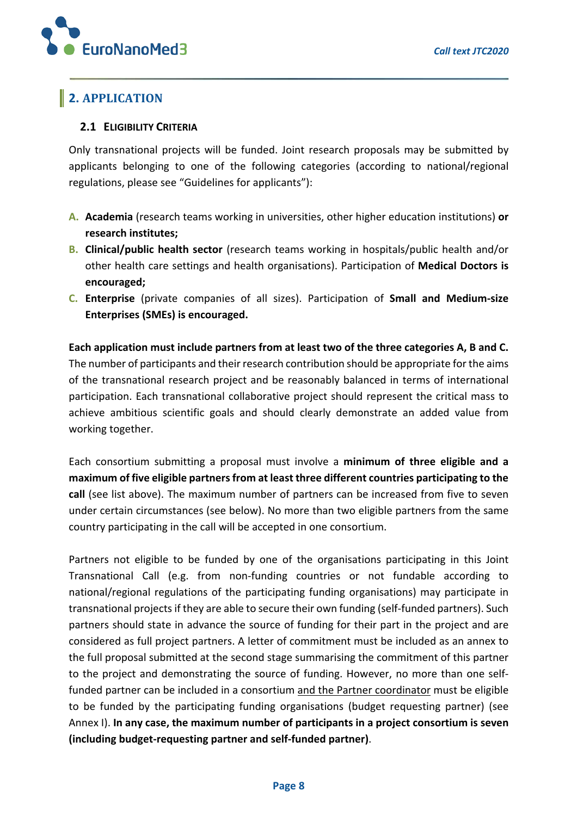

## **2.** APPLICATION

#### **2.1 ELIGIBILITY CRITERIA**

Only transnational projects will be funded. Joint research proposals may be submitted by applicants belonging to one of the following categories (according to national/regional regulations, please see "Guidelines for applicants"):

- **A. Academia** (research teams working in universities, other higher education institutions) **or research institutes;**
- **B. Clinical/public health sector** (research teams working in hospitals/public health and/or other health care settings and health organisations). Participation of **Medical Doctors is encouraged;**
- **C. Enterprise** (private companies of all sizes). Participation of **Small and Medium-size Enterprises (SMEs) is encouraged.**

**Each application must include partners from at least two of the three categories A, B and C.**  The number of participants and their research contribution should be appropriate for the aims of the transnational research project and be reasonably balanced in terms of international participation. Each transnational collaborative project should represent the critical mass to achieve ambitious scientific goals and should clearly demonstrate an added value from working together.

Each consortium submitting a proposal must involve a **minimum of three eligible and a maximum of five eligible partners from at least three different countries participating to the call** (see list above). The maximum number of partners can be increased from five to seven under certain circumstances (see below). No more than two eligible partners from the same country participating in the call will be accepted in one consortium.

Partners not eligible to be funded by one of the organisations participating in this Joint Transnational Call (e.g. from non-funding countries or not fundable according to national/regional regulations of the participating funding organisations) may participate in transnational projects if they are able to secure their own funding (self-funded partners). Such partners should state in advance the source of funding for their part in the project and are considered as full project partners. A letter of commitment must be included as an annex to the full proposal submitted at the second stage summarising the commitment of this partner to the project and demonstrating the source of funding. However, no more than one selffunded partner can be included in a consortium and the Partner coordinator must be eligible to be funded by the participating funding organisations (budget requesting partner) (see Annex I). **In any case, the maximum number of participants in a project consortium is seven (including budget-requesting partner and self-funded partner)**.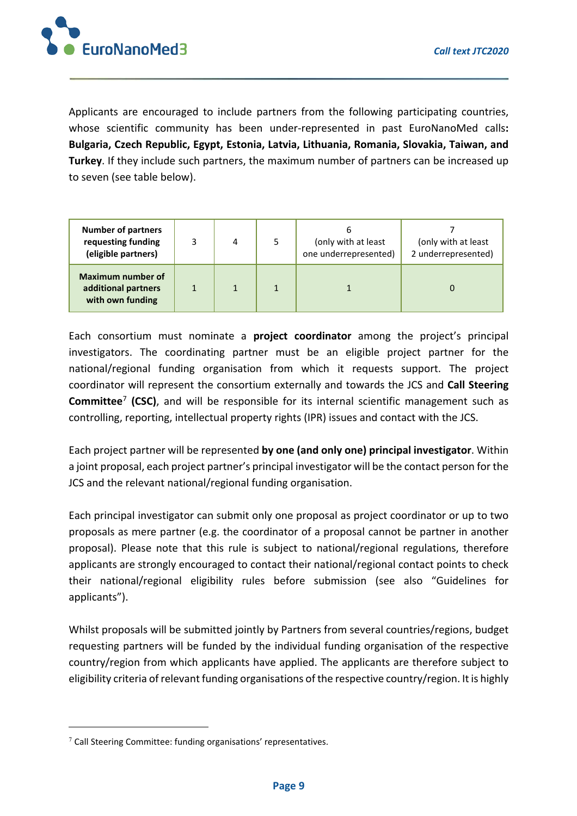

Applicants are encouraged to include partners from the following participating countries, whose scientific community has been under-represented in past EuroNanoMed calls**: Bulgaria, Czech Republic, Egypt, Estonia, Latvia, Lithuania, Romania, Slovakia, Taiwan, and Turkey**. If they include such partners, the maximum number of partners can be increased up to seven (see table below).

| <b>Number of partners</b><br>requesting funding<br>(eligible partners) | 3 | 4 | 6<br>(only with at least<br>one underrepresented) | (only with at least<br>2 underrepresented) |
|------------------------------------------------------------------------|---|---|---------------------------------------------------|--------------------------------------------|
| Maximum number of<br>additional partners<br>with own funding           |   |   |                                                   |                                            |

Each consortium must nominate a **project coordinator** among the project's principal investigators. The coordinating partner must be an eligible project partner for the national/regional funding organisation from which it requests support. The project coordinator will represent the consortium externally and towards the JCS and **Call Steering Committee**<sup>7</sup> **(CSC)**, and will be responsible for its internal scientific management such as controlling, reporting, intellectual property rights (IPR) issues and contact with the JCS.

Each project partner will be represented **by one (and only one) principal investigator**. Within a joint proposal, each project partner's principal investigator will be the contact person for the JCS and the relevant national/regional funding organisation.

Each principal investigator can submit only one proposal as project coordinator or up to two proposals as mere partner (e.g. the coordinator of a proposal cannot be partner in another proposal). Please note that this rule is subject to national/regional regulations, therefore applicants are strongly encouraged to contact their national/regional contact points to check their national/regional eligibility rules before submission (see also "Guidelines for applicants").

Whilst proposals will be submitted jointly by Partners from several countries/regions, budget requesting partners will be funded by the individual funding organisation of the respective country/region from which applicants have applied. The applicants are therefore subject to eligibility criteria of relevant funding organisations of the respective country/region. It is highly

<sup>7</sup> Call Steering Committee: funding organisations' representatives.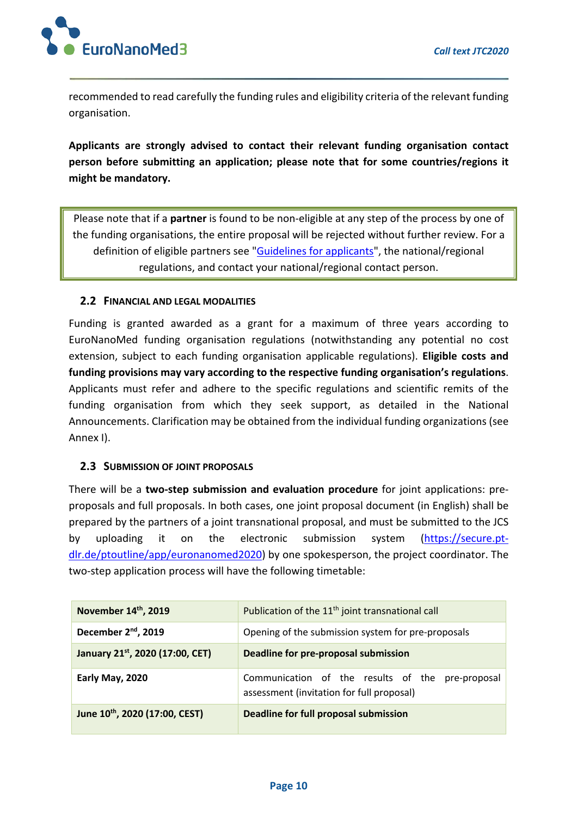

recommended to read carefully the funding rules and eligibility criteria of the relevant funding organisation.

**Applicants are strongly advised to contact their relevant funding organisation contact person before submitting an application; please note that for some countries/regions it might be mandatory.** 

Please note that if a **partner** is found to be non-eligible at any step of the process by one of the funding organisations, the entire proposal will be rejected without further review. For a definition of eligible partners see "Guidelines for applicants", the national/regional regulations, and contact your national/regional contact person.

#### **2.2 FINANCIAL AND LEGAL MODALITIES**

Funding is granted awarded as a grant for a maximum of three years according to EuroNanoMed funding organisation regulations (notwithstanding any potential no cost extension, subject to each funding organisation applicable regulations). **Eligible costs and funding provisions may vary according to the respective funding organisation's regulations**. Applicants must refer and adhere to the specific regulations and scientific remits of the funding organisation from which they seek support, as detailed in the National Announcements. Clarification may be obtained from the individual funding organizations (see Annex I).

#### **2.3 SUBMISSION OF JOINT PROPOSALS**

There will be a **two-step submission and evaluation procedure** for joint applications: preproposals and full proposals. In both cases, one joint proposal document (in English) shall be prepared by the partners of a joint transnational proposal, and must be submitted to the JCS by uploading it on the electronic submission system (https://secure.ptdlr.de/ptoutline/app/euronanomed2020) by one spokesperson, the project coordinator. The two-step application process will have the following timetable:

| November 14th, 2019             | Publication of the 11 <sup>th</sup> joint transnational call                                  |  |  |  |  |
|---------------------------------|-----------------------------------------------------------------------------------------------|--|--|--|--|
| December 2 <sup>nd</sup> , 2019 | Opening of the submission system for pre-proposals                                            |  |  |  |  |
| January 21st, 2020 (17:00, CET) | Deadline for pre-proposal submission                                                          |  |  |  |  |
| Early May, 2020                 | Communication of the results of the pre-proposal<br>assessment (invitation for full proposal) |  |  |  |  |
| June 10th, 2020 (17:00, CEST)   | Deadline for full proposal submission                                                         |  |  |  |  |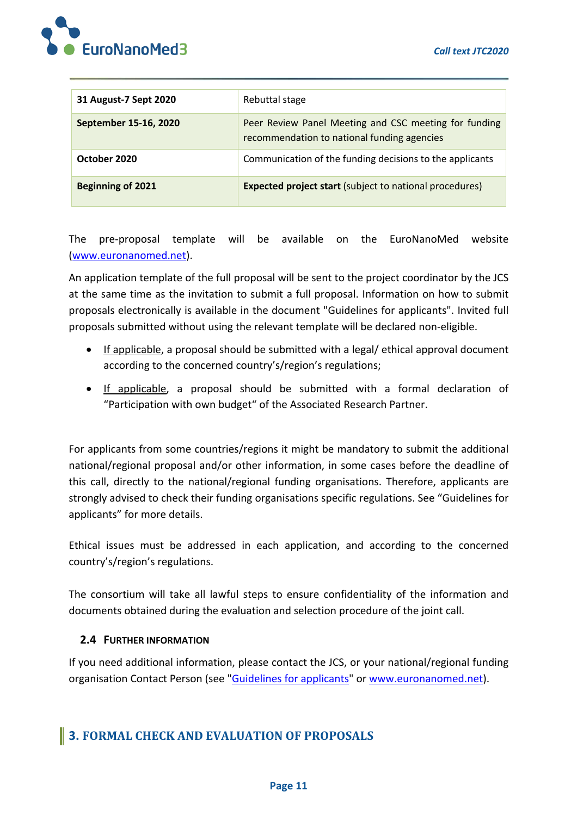

| 31 August-7 Sept 2020    | Rebuttal stage                                                                                       |
|--------------------------|------------------------------------------------------------------------------------------------------|
| September 15-16, 2020    | Peer Review Panel Meeting and CSC meeting for funding<br>recommendation to national funding agencies |
| October 2020             | Communication of the funding decisions to the applicants                                             |
| <b>Beginning of 2021</b> | <b>Expected project start (subject to national procedures)</b>                                       |

The pre-proposal template will be available on the EuroNanoMed website (www.euronanomed.net).

An application template of the full proposal will be sent to the project coordinator by the JCS at the same time as the invitation to submit a full proposal. Information on how to submit proposals electronically is available in the document "Guidelines for applicants". Invited full proposals submitted without using the relevant template will be declared non-eligible.

- If applicable, a proposal should be submitted with a legal/ ethical approval document according to the concerned country's/region's regulations;
- If applicable, a proposal should be submitted with a formal declaration of "Participation with own budget" of the Associated Research Partner.

For applicants from some countries/regions it might be mandatory to submit the additional national/regional proposal and/or other information, in some cases before the deadline of this call, directly to the national/regional funding organisations. Therefore, applicants are strongly advised to check their funding organisations specific regulations. See "Guidelines for applicants" for more details.

Ethical issues must be addressed in each application, and according to the concerned country's/region's regulations.

The consortium will take all lawful steps to ensure confidentiality of the information and documents obtained during the evaluation and selection procedure of the joint call.

#### **2.4 FURTHER INFORMATION**

If you need additional information, please contact the JCS, or your national/regional funding organisation Contact Person (see "Guidelines for applicants" or www.euronanomed.net).

### **3. FORMAL CHECK AND EVALUATION OF PROPOSALS**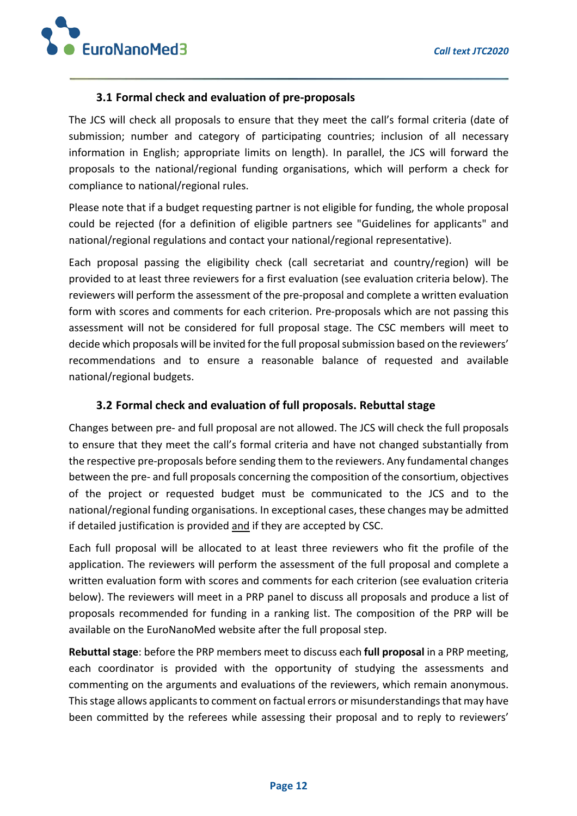

#### **3.1 Formal check and evaluation of pre-proposals**

The JCS will check all proposals to ensure that they meet the call's formal criteria (date of submission; number and category of participating countries; inclusion of all necessary information in English; appropriate limits on length). In parallel, the JCS will forward the proposals to the national/regional funding organisations, which will perform a check for compliance to national/regional rules.

Please note that if a budget requesting partner is not eligible for funding, the whole proposal could be rejected (for a definition of eligible partners see "Guidelines for applicants" and national/regional regulations and contact your national/regional representative).

Each proposal passing the eligibility check (call secretariat and country/region) will be provided to at least three reviewers for a first evaluation (see evaluation criteria below). The reviewers will perform the assessment of the pre-proposal and complete a written evaluation form with scores and comments for each criterion. Pre-proposals which are not passing this assessment will not be considered for full proposal stage. The CSC members will meet to decide which proposals will be invited for the full proposal submission based on the reviewers' recommendations and to ensure a reasonable balance of requested and available national/regional budgets.

#### **3.2 Formal check and evaluation of full proposals. Rebuttal stage**

Changes between pre- and full proposal are not allowed. The JCS will check the full proposals to ensure that they meet the call's formal criteria and have not changed substantially from the respective pre-proposals before sending them to the reviewers. Any fundamental changes between the pre- and full proposals concerning the composition of the consortium, objectives of the project or requested budget must be communicated to the JCS and to the national/regional funding organisations. In exceptional cases, these changes may be admitted if detailed justification is provided and if they are accepted by CSC.

Each full proposal will be allocated to at least three reviewers who fit the profile of the application. The reviewers will perform the assessment of the full proposal and complete a written evaluation form with scores and comments for each criterion (see evaluation criteria below). The reviewers will meet in a PRP panel to discuss all proposals and produce a list of proposals recommended for funding in a ranking list. The composition of the PRP will be available on the EuroNanoMed website after the full proposal step.

**Rebuttal stage**: before the PRP members meet to discuss each **full proposal** in a PRP meeting, each coordinator is provided with the opportunity of studying the assessments and commenting on the arguments and evaluations of the reviewers, which remain anonymous. This stage allows applicants to comment on factual errors or misunderstandings that may have been committed by the referees while assessing their proposal and to reply to reviewers'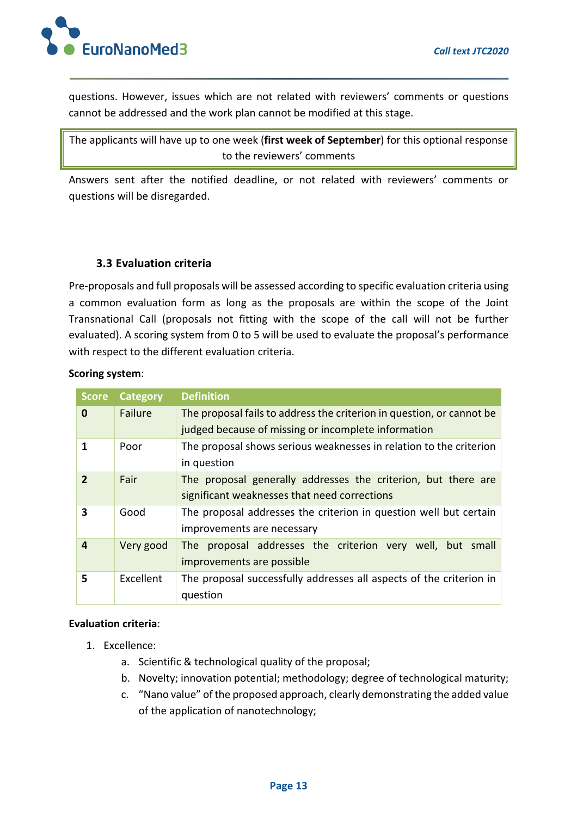

questions. However, issues which are not related with reviewers' comments or questions cannot be addressed and the work plan cannot be modified at this stage.

The applicants will have up to one week (**first week of September**) for this optional response to the reviewers' comments

Answers sent after the notified deadline, or not related with reviewers' comments or questions will be disregarded.

#### **3.3 Evaluation criteria**

Pre-proposals and full proposals will be assessed according to specific evaluation criteria using a common evaluation form as long as the proposals are within the scope of the Joint Transnational Call (proposals not fitting with the scope of the call will not be further evaluated). A scoring system from 0 to 5 will be used to evaluate the proposal's performance with respect to the different evaluation criteria.

#### **Scoring system**:

| <b>Score</b> | <b>Category</b> | <b>Definition</b>                                                     |  |  |  |  |
|--------------|-----------------|-----------------------------------------------------------------------|--|--|--|--|
| 0            | Failure         | The proposal fails to address the criterion in question, or cannot be |  |  |  |  |
|              |                 | judged because of missing or incomplete information                   |  |  |  |  |
|              | Poor            | The proposal shows serious weaknesses in relation to the criterion    |  |  |  |  |
|              |                 | in question                                                           |  |  |  |  |
| $\mathbf{z}$ | Fair            | The proposal generally addresses the criterion, but there are         |  |  |  |  |
|              |                 | significant weaknesses that need corrections                          |  |  |  |  |
| 3            | Good            | The proposal addresses the criterion in question well but certain     |  |  |  |  |
|              |                 | improvements are necessary                                            |  |  |  |  |
| 4            | Very good       | The proposal addresses the criterion very well, but small             |  |  |  |  |
|              |                 | improvements are possible                                             |  |  |  |  |
| 5            | Excellent       | The proposal successfully addresses all aspects of the criterion in   |  |  |  |  |
|              |                 | question                                                              |  |  |  |  |

#### **Evaluation criteria**:

- 1. Excellence:
	- a. Scientific & technological quality of the proposal;
	- b. Novelty; innovation potential; methodology; degree of technological maturity;
	- c. "Nano value" of the proposed approach, clearly demonstrating the added value of the application of nanotechnology;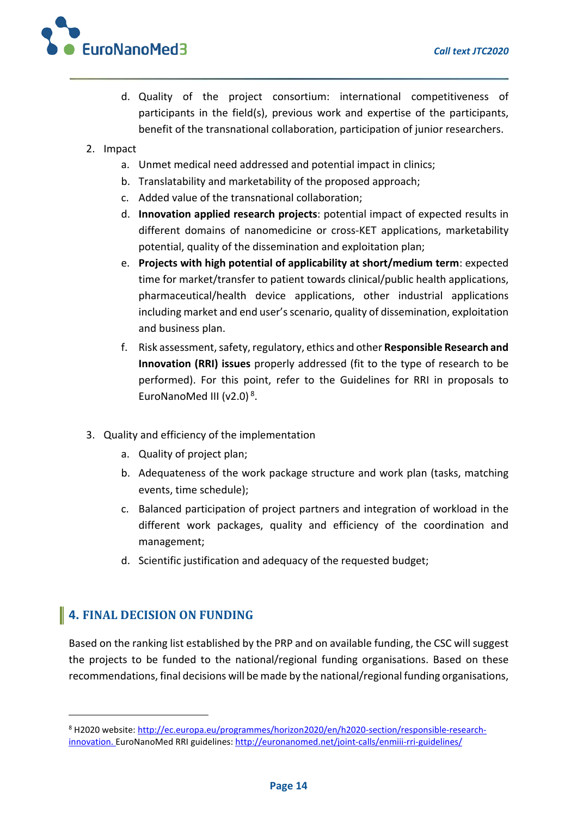

- d. Quality of the project consortium: international competitiveness of participants in the field(s), previous work and expertise of the participants, benefit of the transnational collaboration, participation of junior researchers.
- 2. Impact
	- a. Unmet medical need addressed and potential impact in clinics;
	- b. Translatability and marketability of the proposed approach;
	- c. Added value of the transnational collaboration;
	- d. **Innovation applied research projects**: potential impact of expected results in different domains of nanomedicine or cross-KET applications, marketability potential, quality of the dissemination and exploitation plan;
	- e. **Projects with high potential of applicability at short/medium term**: expected time for market/transfer to patient towards clinical/public health applications, pharmaceutical/health device applications, other industrial applications including market and end user's scenario, quality of dissemination, exploitation and business plan.
	- f. Risk assessment, safety, regulatory, ethics and other **Responsible Research and Innovation (RRI) issues** properly addressed (fit to the type of research to be performed). For this point, refer to the Guidelines for RRI in proposals to EuroNanoMed III (v2.0) 8.
- 3. Quality and efficiency of the implementation
	- a. Quality of project plan;
	- b. Adequateness of the work package structure and work plan (tasks, matching events, time schedule);
	- c. Balanced participation of project partners and integration of workload in the different work packages, quality and efficiency of the coordination and management;
	- d. Scientific justification and adequacy of the requested budget;

# **4. FINAL DECISION ON FUNDING**

Based on the ranking list established by the PRP and on available funding, the CSC will suggest the projects to be funded to the national/regional funding organisations. Based on these recommendations, final decisions will be made by the national/regional funding organisations,

<sup>8</sup> H2020 website: http://ec.europa.eu/programmes/horizon2020/en/h2020-section/responsible-researchinnovation. EuroNanoMed RRI guidelines: http://euronanomed.net/joint-calls/enmiii-rri-guidelines/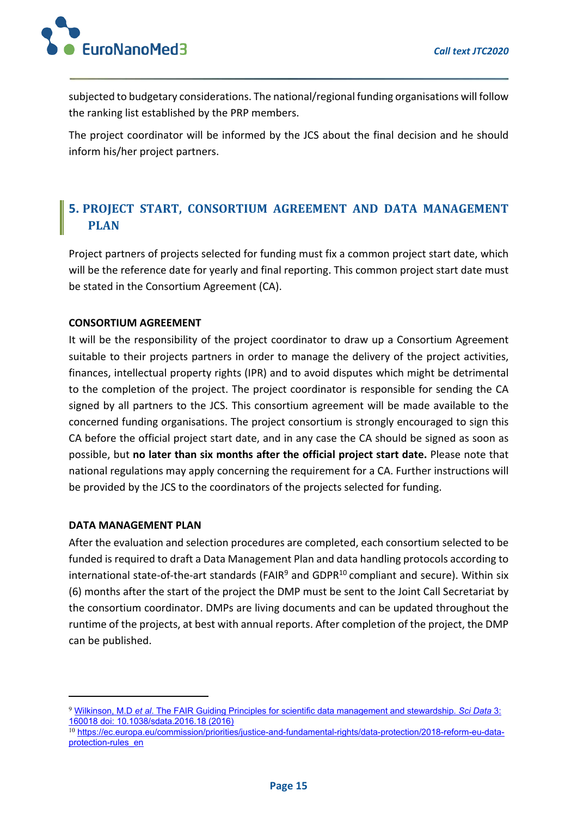

subjected to budgetary considerations. The national/regional funding organisations will follow the ranking list established by the PRP members.

The project coordinator will be informed by the JCS about the final decision and he should inform his/her project partners.

## **5. PROJECT START, CONSORTIUM AGREEMENT AND DATA MANAGEMENT PLAN**

Project partners of projects selected for funding must fix a common project start date, which will be the reference date for yearly and final reporting. This common project start date must be stated in the Consortium Agreement (CA).

#### **CONSORTIUM AGREEMENT**

It will be the responsibility of the project coordinator to draw up a Consortium Agreement suitable to their projects partners in order to manage the delivery of the project activities, finances, intellectual property rights (IPR) and to avoid disputes which might be detrimental to the completion of the project. The project coordinator is responsible for sending the CA signed by all partners to the JCS. This consortium agreement will be made available to the concerned funding organisations. The project consortium is strongly encouraged to sign this CA before the official project start date, and in any case the CA should be signed as soon as possible, but **no later than six months after the official project start date.** Please note that national regulations may apply concerning the requirement for a CA. Further instructions will be provided by the JCS to the coordinators of the projects selected for funding.

#### **DATA MANAGEMENT PLAN**

After the evaluation and selection procedures are completed, each consortium selected to be funded is required to draft a Data Management Plan and data handling protocols according to international state-of-the-art standards (FAIR<sup>9</sup> and GDPR $^{10}$  compliant and secure). Within six (6) months after the start of the project the DMP must be sent to the Joint Call Secretariat by the consortium coordinator. DMPs are living documents and can be updated throughout the runtime of the projects, at best with annual reports. After completion of the project, the DMP can be published.

<sup>9</sup> Wilkinson, M.D *et al*. The FAIR Guiding Principles for scientific data management and stewardship. *Sci Data* 3: 160018 doi: 10.1038/sdata.2016.18 (2016)

<sup>10</sup> https://ec.europa.eu/commission/priorities/justice-and-fundamental-rights/data-protection/2018-reform-eu-dataprotection-rules\_en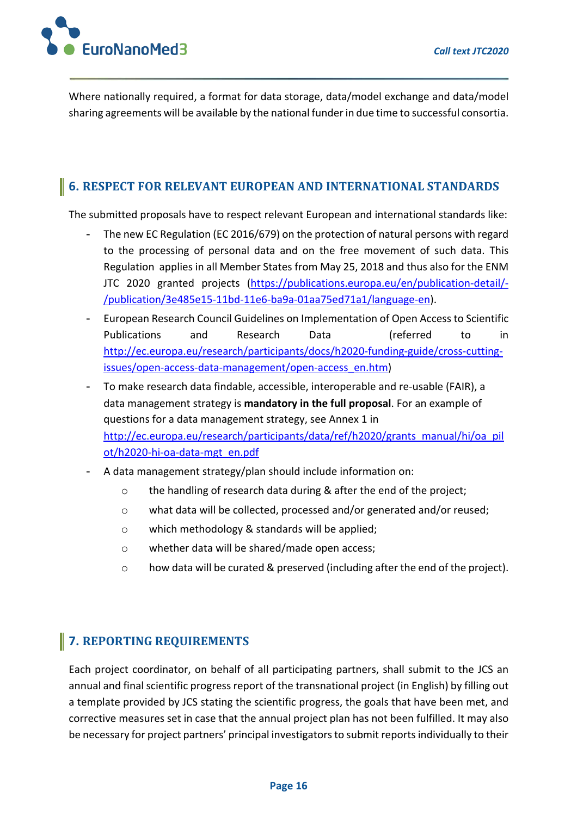EuroNanoMed3

Where nationally required, a format for data storage, data/model exchange and data/model sharing agreements will be available by the national funder in due time to successful consortia.

### **6. RESPECT FOR RELEVANT EUROPEAN AND INTERNATIONAL STANDARDS**

The submitted proposals have to respect relevant European and international standards like:

- The new EC Regulation (EC 2016/679) on the protection of natural persons with regard to the processing of personal data and on the free movement of such data. This Regulation applies in all Member States from May 25, 2018 and thus also for the ENM JTC 2020 granted projects (https://publications.europa.eu/en/publication-detail/- /publication/3e485e15-11bd-11e6-ba9a-01aa75ed71a1/language-en).
- European Research Council Guidelines on Implementation of Open Access to Scientific Publications and Research Data (referred to in http://ec.europa.eu/research/participants/docs/h2020-funding-guide/cross-cuttingissues/open-access-data-management/open-access\_en.htm)
- To make research data findable, accessible, interoperable and re-usable (FAIR), a data management strategy is **mandatory in the full proposal**. For an example of questions for a data management strategy, see Annex 1 in http://ec.europa.eu/research/participants/data/ref/h2020/grants\_manual/hi/oa\_pil ot/h2020-hi-oa-data-mgt\_en.pdf
- A data management strategy/plan should include information on:
	- o the handling of research data during & after the end of the project;
	- o what data will be collected, processed and/or generated and/or reused;
	- o which methodology & standards will be applied;
	- o whether data will be shared/made open access;
	- $\circ$  how data will be curated & preserved (including after the end of the project).

## **7. REPORTING REQUIREMENTS**

Each project coordinator, on behalf of all participating partners, shall submit to the JCS an annual and final scientific progress report of the transnational project (in English) by filling out a template provided by JCS stating the scientific progress, the goals that have been met, and corrective measures set in case that the annual project plan has not been fulfilled. It may also be necessary for project partners' principal investigators to submit reports individually to their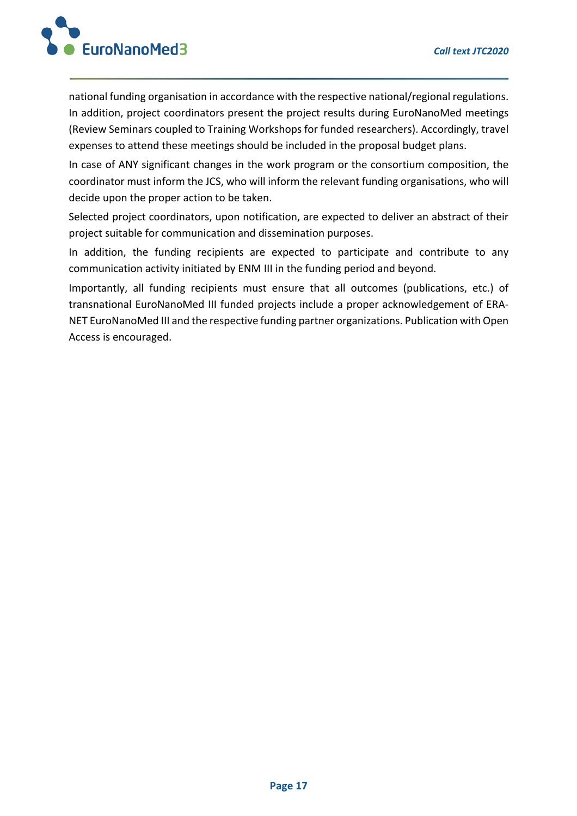

national funding organisation in accordance with the respective national/regional regulations. In addition, project coordinators present the project results during EuroNanoMed meetings (Review Seminars coupled to Training Workshops for funded researchers). Accordingly, travel expenses to attend these meetings should be included in the proposal budget plans.

In case of ANY significant changes in the work program or the consortium composition, the coordinator must inform the JCS, who will inform the relevant funding organisations, who will decide upon the proper action to be taken.

Selected project coordinators, upon notification, are expected to deliver an abstract of their project suitable for communication and dissemination purposes.

In addition, the funding recipients are expected to participate and contribute to any communication activity initiated by ENM III in the funding period and beyond.

Importantly, all funding recipients must ensure that all outcomes (publications, etc.) of transnational EuroNanoMed III funded projects include a proper acknowledgement of ERA-NET EuroNanoMed III and the respective funding partner organizations. Publication with Open Access is encouraged.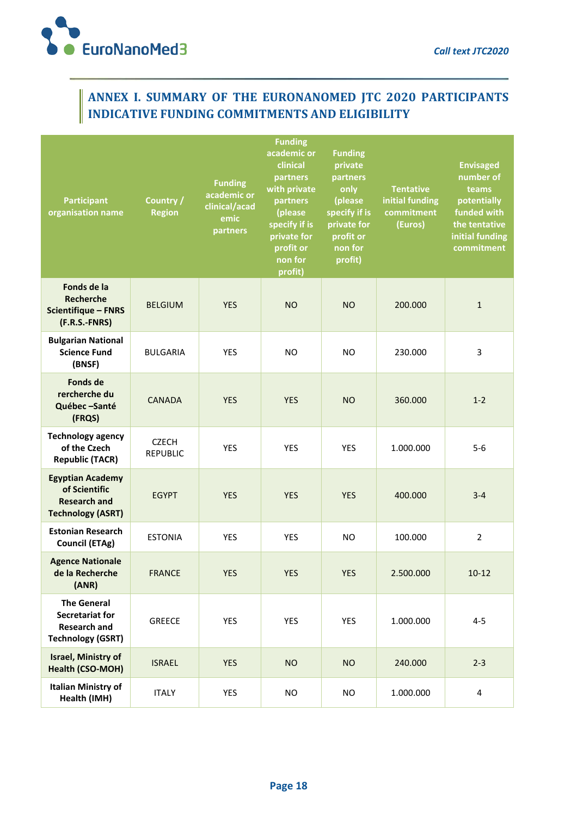

## **ANNEX I. SUMMARY OF THE EURONANOMED JTC 2020 PARTICIPANTS INDICATIVE FUNDING COMMITMENTS AND ELIGIBILITY**

| <b>Participant</b><br>organisation name                                                         | Country /<br><b>Region</b>      | <b>Funding</b><br>academic or<br>clinical/acad<br>emic<br>partners | <b>Funding</b><br>academic or<br>clinical<br>partners<br>with private<br>partners<br>(please<br>specify if is<br>private for<br>profit or<br>non for<br>profit) | <b>Funding</b><br>private<br>partners<br>only<br>(please<br>specify if is<br>private for<br>profit or<br>non for<br>profit) | <b>Tentative</b><br>initial funding<br>commitment<br>(Euros) | <b>Envisaged</b><br>number of<br>teams<br>potentially<br>funded with<br>the tentative<br>initial funding<br>commitment |
|-------------------------------------------------------------------------------------------------|---------------------------------|--------------------------------------------------------------------|-----------------------------------------------------------------------------------------------------------------------------------------------------------------|-----------------------------------------------------------------------------------------------------------------------------|--------------------------------------------------------------|------------------------------------------------------------------------------------------------------------------------|
| Fonds de la<br><b>Recherche</b><br><b>Scientifique - FNRS</b><br>(F.R.S.-FNRS)                  | <b>BELGIUM</b>                  | <b>YES</b>                                                         | <b>NO</b>                                                                                                                                                       | <b>NO</b>                                                                                                                   | 200.000                                                      | $\mathbf{1}$                                                                                                           |
| <b>Bulgarian National</b><br><b>Science Fund</b><br>(BNSF)                                      | <b>BULGARIA</b>                 | <b>YES</b>                                                         | N <sub>O</sub>                                                                                                                                                  | <b>NO</b>                                                                                                                   | 230.000                                                      | 3                                                                                                                      |
| <b>Fonds de</b><br>rercherche du<br>Québec-Santé<br>(FRQS)                                      | <b>CANADA</b>                   | <b>YES</b>                                                         | <b>YES</b>                                                                                                                                                      | <b>NO</b>                                                                                                                   | 360.000                                                      | $1 - 2$                                                                                                                |
| <b>Technology agency</b><br>of the Czech<br><b>Republic (TACR)</b>                              | <b>CZECH</b><br><b>REPUBLIC</b> | <b>YES</b>                                                         | <b>YES</b>                                                                                                                                                      | <b>YES</b>                                                                                                                  | 1.000.000                                                    | $5-6$                                                                                                                  |
| <b>Egyptian Academy</b><br>of Scientific<br><b>Research and</b><br><b>Technology (ASRT)</b>     | <b>EGYPT</b>                    | <b>YES</b>                                                         | <b>YES</b>                                                                                                                                                      | <b>YES</b>                                                                                                                  | 400.000                                                      | $3 - 4$                                                                                                                |
| <b>Estonian Research</b><br><b>Council (ETAg)</b>                                               | <b>ESTONIA</b>                  | <b>YES</b>                                                         | <b>YES</b>                                                                                                                                                      | <b>NO</b>                                                                                                                   | 100.000                                                      | $\overline{2}$                                                                                                         |
| <b>Agence Nationale</b><br>de la Recherche<br>(ANR)                                             | <b>FRANCE</b>                   | <b>YES</b>                                                         | <b>YES</b>                                                                                                                                                      | <b>YES</b>                                                                                                                  | 2.500.000                                                    | $10 - 12$                                                                                                              |
| <b>The General</b><br><b>Secretariat for</b><br><b>Research and</b><br><b>Technology (GSRT)</b> | <b>GREECE</b>                   | YES                                                                | <b>YES</b>                                                                                                                                                      | YES                                                                                                                         | 1.000.000                                                    | $4 - 5$                                                                                                                |
| <b>Israel, Ministry of</b><br>Health (CSO-MOH)                                                  | <b>ISRAEL</b>                   | <b>YES</b>                                                         | <b>NO</b>                                                                                                                                                       | <b>NO</b>                                                                                                                   | 240.000                                                      | $2 - 3$                                                                                                                |
| <b>Italian Ministry of</b><br>Health (IMH)                                                      | <b>ITALY</b>                    | <b>YES</b>                                                         | <b>NO</b>                                                                                                                                                       | <b>NO</b>                                                                                                                   | 1.000.000                                                    | $\overline{\mathbf{4}}$                                                                                                |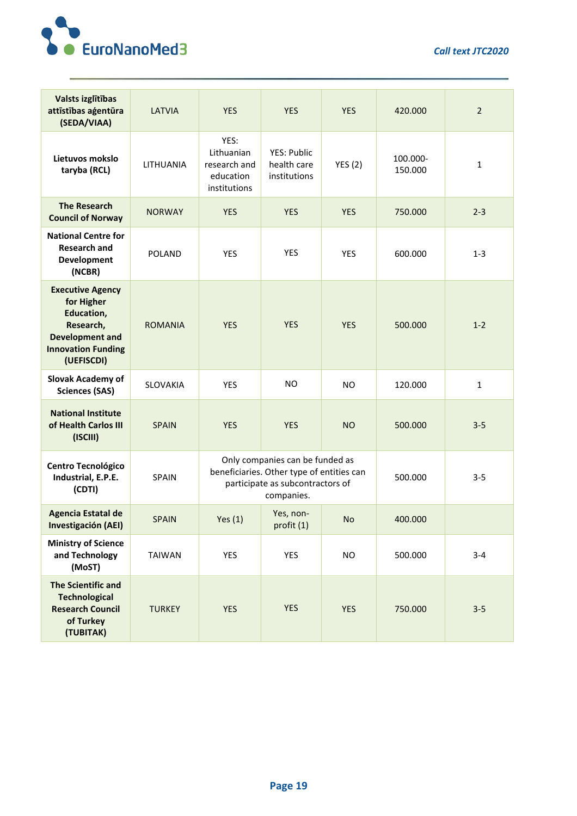

*Call text JTC2020*

| Valsts izglītības<br>attīstības aģentūra<br>(SEDA/VIAA)                                                                               | <b>LATVIA</b>    | <b>YES</b>                                                                                                                     | <b>YES</b>                                 | <b>YES</b>     | 420.000             | $\overline{2}$ |
|---------------------------------------------------------------------------------------------------------------------------------------|------------------|--------------------------------------------------------------------------------------------------------------------------------|--------------------------------------------|----------------|---------------------|----------------|
| Lietuvos mokslo<br>taryba (RCL)                                                                                                       | <b>LITHUANIA</b> | YES:<br>Lithuanian<br>research and<br>education<br>institutions                                                                | YES: Public<br>health care<br>institutions | YES(2)         | 100.000-<br>150.000 | $\mathbf 1$    |
| <b>The Research</b><br><b>Council of Norway</b>                                                                                       | <b>NORWAY</b>    | <b>YES</b>                                                                                                                     | <b>YES</b>                                 | <b>YES</b>     | 750.000             | $2 - 3$        |
| <b>National Centre for</b><br><b>Research and</b><br>Development<br>(NCBR)                                                            | <b>POLAND</b>    | <b>YES</b>                                                                                                                     | <b>YES</b>                                 | <b>YES</b>     | 600.000             | $1 - 3$        |
| <b>Executive Agency</b><br>for Higher<br>Education,<br>Research,<br><b>Development and</b><br><b>Innovation Funding</b><br>(UEFISCDI) | <b>ROMANIA</b>   | <b>YES</b>                                                                                                                     | <b>YES</b>                                 | <b>YES</b>     | 500.000             | $1 - 2$        |
| <b>Slovak Academy of</b><br><b>Sciences (SAS)</b>                                                                                     | SLOVAKIA         | <b>YES</b>                                                                                                                     | N <sub>O</sub>                             | N <sub>O</sub> | 120.000             | $\mathbf{1}$   |
| <b>National Institute</b><br>of Health Carlos III<br>(ISCIII)                                                                         | <b>SPAIN</b>     | <b>YES</b>                                                                                                                     | <b>YES</b>                                 | <b>NO</b>      | 500.000             | $3 - 5$        |
| Centro Tecnológico<br>Industrial, E.P.E.<br>(CDTI)                                                                                    | SPAIN            | Only companies can be funded as<br>beneficiaries. Other type of entities can<br>participate as subcontractors of<br>companies. |                                            |                | 500.000             | $3 - 5$        |
| <b>Agencia Estatal de</b><br>Investigación (AEI)                                                                                      | <b>SPAIN</b>     | Yes $(1)$                                                                                                                      | Yes, non-<br>profit (1)                    | <b>No</b>      | 400.000             |                |
| <b>Ministry of Science</b><br>and Technology<br>(MoST)                                                                                | <b>TAIWAN</b>    | YES                                                                                                                            | <b>YES</b>                                 | <b>NO</b>      | 500.000             | $3 - 4$        |
| <b>The Scientific and</b><br><b>Technological</b><br><b>Research Council</b><br>of Turkey<br>(TUBITAK)                                | <b>TURKEY</b>    | <b>YES</b>                                                                                                                     | <b>YES</b>                                 | <b>YES</b>     | 750.000             | $3 - 5$        |